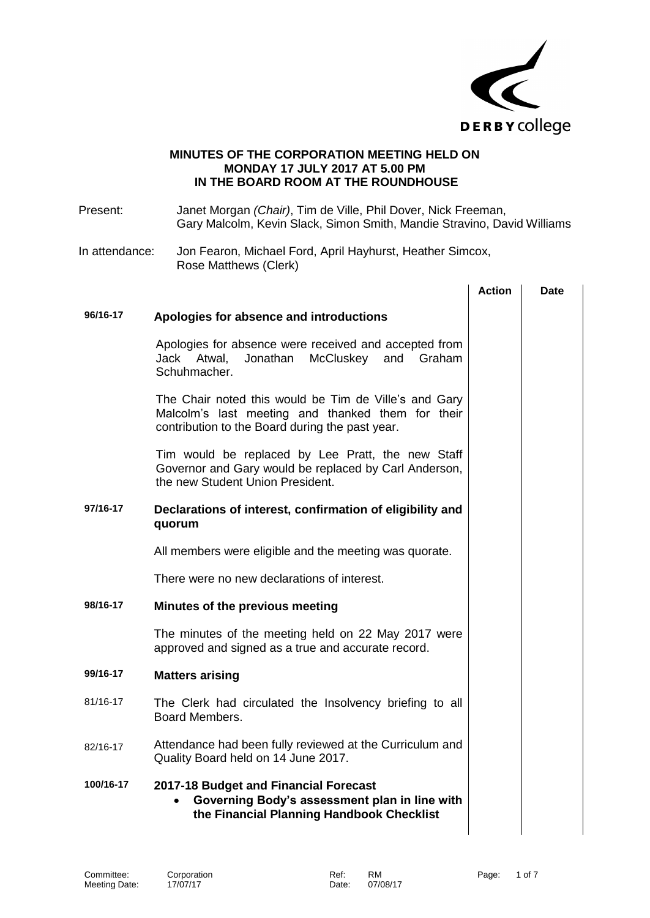

## **MINUTES OF THE CORPORATION MEETING HELD ON MONDAY 17 JULY 2017 AT 5.00 PM IN THE BOARD ROOM AT THE ROUNDHOUSE**

| Present:       | Janet Morgan (Chair), Tim de Ville, Phil Dover, Nick Freeman,<br>Gary Malcolm, Kevin Slack, Simon Smith, Mandie Stravino, David Williams                      |               |             |
|----------------|---------------------------------------------------------------------------------------------------------------------------------------------------------------|---------------|-------------|
| In attendance: | Jon Fearon, Michael Ford, April Hayhurst, Heather Simcox,<br>Rose Matthews (Clerk)                                                                            |               |             |
|                |                                                                                                                                                               | <b>Action</b> | <b>Date</b> |
| 96/16-17       | Apologies for absence and introductions                                                                                                                       |               |             |
|                | Apologies for absence were received and accepted from<br>Jonathan<br>McCluskey<br>Jack Atwal,<br>and<br>Graham<br>Schuhmacher.                                |               |             |
|                | The Chair noted this would be Tim de Ville's and Gary<br>Malcolm's last meeting and thanked them for their<br>contribution to the Board during the past year. |               |             |
|                | Tim would be replaced by Lee Pratt, the new Staff<br>Governor and Gary would be replaced by Carl Anderson,<br>the new Student Union President.                |               |             |
| 97/16-17       | Declarations of interest, confirmation of eligibility and<br>quorum                                                                                           |               |             |
|                | All members were eligible and the meeting was quorate.                                                                                                        |               |             |
|                | There were no new declarations of interest.                                                                                                                   |               |             |
| 98/16-17       | Minutes of the previous meeting                                                                                                                               |               |             |
|                | The minutes of the meeting held on 22 May 2017 were<br>approved and signed as a true and accurate record.                                                     |               |             |
| 99/16-17       | <b>Matters arising</b>                                                                                                                                        |               |             |
| 81/16-17       | The Clerk had circulated the Insolvency briefing to all<br>Board Members.                                                                                     |               |             |
| 82/16-17       | Attendance had been fully reviewed at the Curriculum and<br>Quality Board held on 14 June 2017.                                                               |               |             |
| 100/16-17      | 2017-18 Budget and Financial Forecast<br>Governing Body's assessment plan in line with<br>$\bullet$<br>the Financial Planning Handbook Checklist              |               |             |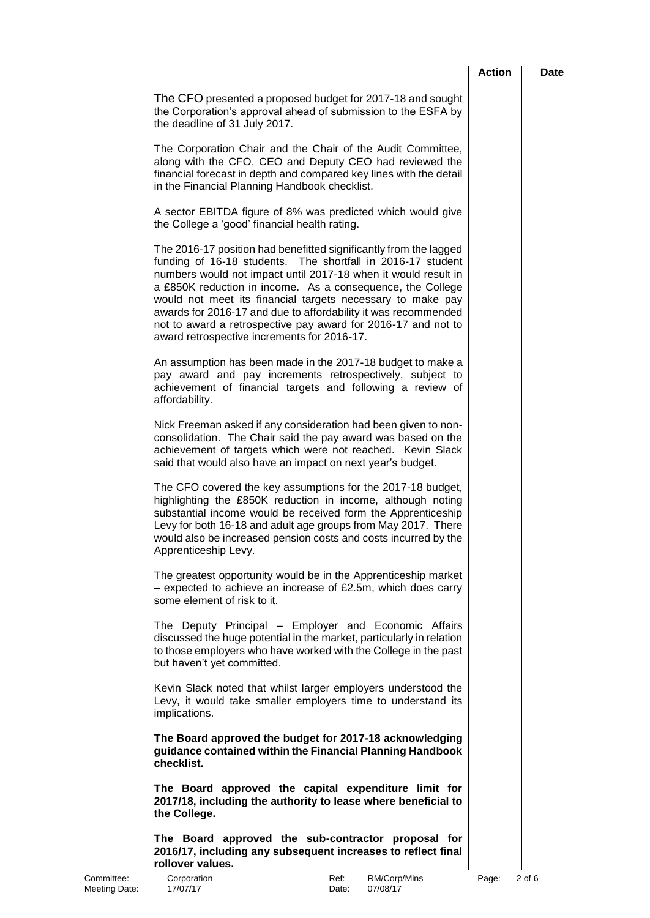|                             |                                                                                                                                                                                                                                                                                                                                                                                                                                                                                                                  | <b>Action</b> | <b>Date</b> |
|-----------------------------|------------------------------------------------------------------------------------------------------------------------------------------------------------------------------------------------------------------------------------------------------------------------------------------------------------------------------------------------------------------------------------------------------------------------------------------------------------------------------------------------------------------|---------------|-------------|
|                             | The CFO presented a proposed budget for 2017-18 and sought<br>the Corporation's approval ahead of submission to the ESFA by<br>the deadline of 31 July 2017.                                                                                                                                                                                                                                                                                                                                                     |               |             |
|                             | The Corporation Chair and the Chair of the Audit Committee,<br>along with the CFO, CEO and Deputy CEO had reviewed the<br>financial forecast in depth and compared key lines with the detail<br>in the Financial Planning Handbook checklist.                                                                                                                                                                                                                                                                    |               |             |
|                             | A sector EBITDA figure of 8% was predicted which would give<br>the College a 'good' financial health rating.                                                                                                                                                                                                                                                                                                                                                                                                     |               |             |
|                             | The 2016-17 position had benefitted significantly from the lagged<br>funding of 16-18 students. The shortfall in 2016-17 student<br>numbers would not impact until 2017-18 when it would result in<br>a £850K reduction in income. As a consequence, the College<br>would not meet its financial targets necessary to make pay<br>awards for 2016-17 and due to affordability it was recommended<br>not to award a retrospective pay award for 2016-17 and not to<br>award retrospective increments for 2016-17. |               |             |
|                             | An assumption has been made in the 2017-18 budget to make a<br>pay award and pay increments retrospectively, subject to<br>achievement of financial targets and following a review of<br>affordability.                                                                                                                                                                                                                                                                                                          |               |             |
|                             | Nick Freeman asked if any consideration had been given to non-<br>consolidation. The Chair said the pay award was based on the<br>achievement of targets which were not reached. Kevin Slack<br>said that would also have an impact on next year's budget.                                                                                                                                                                                                                                                       |               |             |
|                             | The CFO covered the key assumptions for the 2017-18 budget,<br>highlighting the £850K reduction in income, although noting<br>substantial income would be received form the Apprenticeship<br>Levy for both 16-18 and adult age groups from May 2017. There<br>would also be increased pension costs and costs incurred by the<br>Apprenticeship Levy.                                                                                                                                                           |               |             |
|                             | The greatest opportunity would be in the Apprenticeship market<br>- expected to achieve an increase of £2.5m, which does carry<br>some element of risk to it.                                                                                                                                                                                                                                                                                                                                                    |               |             |
|                             | The Deputy Principal - Employer and Economic Affairs<br>discussed the huge potential in the market, particularly in relation<br>to those employers who have worked with the College in the past<br>but haven't yet committed.                                                                                                                                                                                                                                                                                    |               |             |
|                             | Kevin Slack noted that whilst larger employers understood the<br>Levy, it would take smaller employers time to understand its<br>implications.                                                                                                                                                                                                                                                                                                                                                                   |               |             |
|                             | The Board approved the budget for 2017-18 acknowledging<br>guidance contained within the Financial Planning Handbook<br>checklist.                                                                                                                                                                                                                                                                                                                                                                               |               |             |
|                             | The Board approved the capital expenditure limit for<br>2017/18, including the authority to lease where beneficial to<br>the College.                                                                                                                                                                                                                                                                                                                                                                            |               |             |
|                             | The Board approved the sub-contractor proposal for<br>2016/17, including any subsequent increases to reflect final<br>rollover values.                                                                                                                                                                                                                                                                                                                                                                           |               |             |
| Committee:<br>Meeting Date: | Corporation<br>RM/Corp/Mins<br>Ref:<br>17/07/17<br>07/08/17<br>Date:                                                                                                                                                                                                                                                                                                                                                                                                                                             | Page:         | 2 of 6      |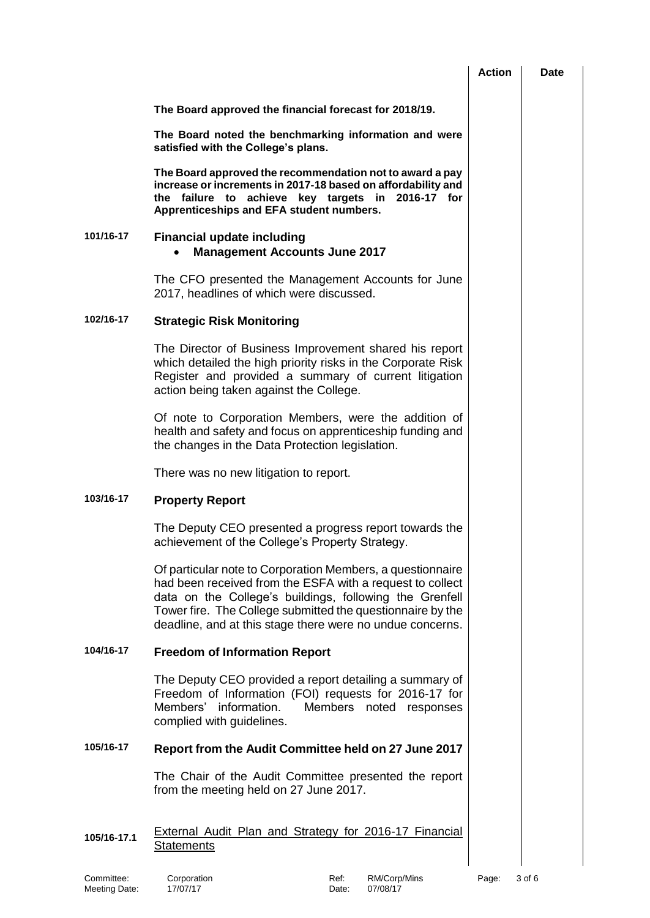|             |                                                                                                                                                                                                                                                                                                               | <b>Action</b> | Date |
|-------------|---------------------------------------------------------------------------------------------------------------------------------------------------------------------------------------------------------------------------------------------------------------------------------------------------------------|---------------|------|
|             | The Board approved the financial forecast for 2018/19.                                                                                                                                                                                                                                                        |               |      |
|             | The Board noted the benchmarking information and were<br>satisfied with the College's plans.                                                                                                                                                                                                                  |               |      |
|             | The Board approved the recommendation not to award a pay<br>increase or increments in 2017-18 based on affordability and<br>the failure to achieve key targets in 2016-17 for<br>Apprenticeships and EFA student numbers.                                                                                     |               |      |
| 101/16-17   | <b>Financial update including</b><br><b>Management Accounts June 2017</b>                                                                                                                                                                                                                                     |               |      |
|             | The CFO presented the Management Accounts for June<br>2017, headlines of which were discussed.                                                                                                                                                                                                                |               |      |
| 102/16-17   | <b>Strategic Risk Monitoring</b>                                                                                                                                                                                                                                                                              |               |      |
|             | The Director of Business Improvement shared his report<br>which detailed the high priority risks in the Corporate Risk<br>Register and provided a summary of current litigation<br>action being taken against the College.                                                                                    |               |      |
|             | Of note to Corporation Members, were the addition of<br>health and safety and focus on apprenticeship funding and<br>the changes in the Data Protection legislation.                                                                                                                                          |               |      |
|             | There was no new litigation to report.                                                                                                                                                                                                                                                                        |               |      |
| 103/16-17   | <b>Property Report</b>                                                                                                                                                                                                                                                                                        |               |      |
|             | The Deputy CEO presented a progress report towards the<br>achievement of the College's Property Strategy.                                                                                                                                                                                                     |               |      |
|             | Of particular note to Corporation Members, a questionnaire<br>had been received from the ESFA with a request to collect<br>data on the College's buildings, following the Grenfell<br>Tower fire. The College submitted the questionnaire by the<br>deadline, and at this stage there were no undue concerns. |               |      |
| 104/16-17   | <b>Freedom of Information Report</b>                                                                                                                                                                                                                                                                          |               |      |
|             | The Deputy CEO provided a report detailing a summary of<br>Freedom of Information (FOI) requests for 2016-17 for<br>Members' information.<br>Members noted responses<br>complied with guidelines.                                                                                                             |               |      |
| 105/16-17   | Report from the Audit Committee held on 27 June 2017                                                                                                                                                                                                                                                          |               |      |
|             | The Chair of the Audit Committee presented the report<br>from the meeting held on 27 June 2017.                                                                                                                                                                                                               |               |      |
| 105/16-17.1 | <b>External Audit Plan and Strategy for 2016-17 Financial</b><br><b>Statements</b>                                                                                                                                                                                                                            |               |      |

Committee: Corporation Committee: Corporation Ref: RM/Corp/Mins Page: 3 of 6<br>
Meeting Date: 17/07/17 Committee: 07/08/17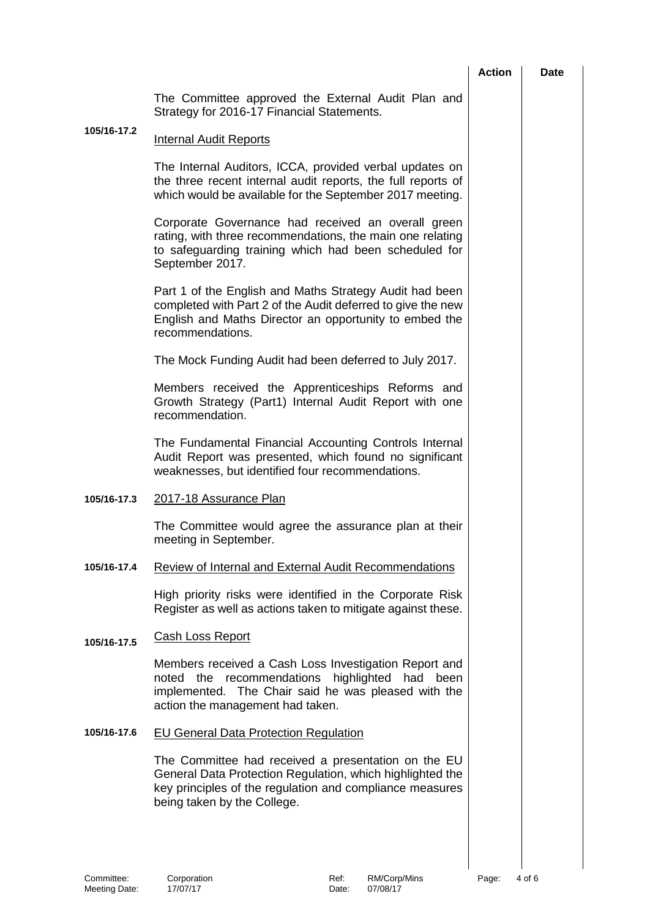|             |                                                                                                                                                                                                                   | <b>Action</b> | <b>Date</b> |
|-------------|-------------------------------------------------------------------------------------------------------------------------------------------------------------------------------------------------------------------|---------------|-------------|
|             | The Committee approved the External Audit Plan and<br>Strategy for 2016-17 Financial Statements.                                                                                                                  |               |             |
| 105/16-17.2 | <b>Internal Audit Reports</b>                                                                                                                                                                                     |               |             |
|             | The Internal Auditors, ICCA, provided verbal updates on<br>the three recent internal audit reports, the full reports of<br>which would be available for the September 2017 meeting.                               |               |             |
|             | Corporate Governance had received an overall green<br>rating, with three recommendations, the main one relating<br>to safeguarding training which had been scheduled for<br>September 2017.                       |               |             |
|             | Part 1 of the English and Maths Strategy Audit had been<br>completed with Part 2 of the Audit deferred to give the new<br>English and Maths Director an opportunity to embed the<br>recommendations.              |               |             |
|             | The Mock Funding Audit had been deferred to July 2017.                                                                                                                                                            |               |             |
|             | Members received the Apprenticeships Reforms and<br>Growth Strategy (Part1) Internal Audit Report with one<br>recommendation.                                                                                     |               |             |
|             | The Fundamental Financial Accounting Controls Internal<br>Audit Report was presented, which found no significant<br>weaknesses, but identified four recommendations.                                              |               |             |
| 105/16-17.3 | 2017-18 Assurance Plan                                                                                                                                                                                            |               |             |
|             | The Committee would agree the assurance plan at their<br>meeting in September.                                                                                                                                    |               |             |
| 105/16-17.4 | <b>Review of Internal and External Audit Recommendations</b>                                                                                                                                                      |               |             |
|             | High priority risks were identified in the Corporate Risk<br>Register as well as actions taken to mitigate against these.                                                                                         |               |             |
| 105/16-17.5 | <b>Cash Loss Report</b>                                                                                                                                                                                           |               |             |
|             | Members received a Cash Loss Investigation Report and<br>highlighted<br>recommendations<br>had<br>noted<br>the<br>been<br>implemented. The Chair said he was pleased with the<br>action the management had taken. |               |             |
| 105/16-17.6 | <b>EU General Data Protection Regulation</b>                                                                                                                                                                      |               |             |
|             | The Committee had received a presentation on the EU<br>General Data Protection Regulation, which highlighted the<br>key principles of the regulation and compliance measures<br>being taken by the College.       |               |             |
|             |                                                                                                                                                                                                                   |               |             |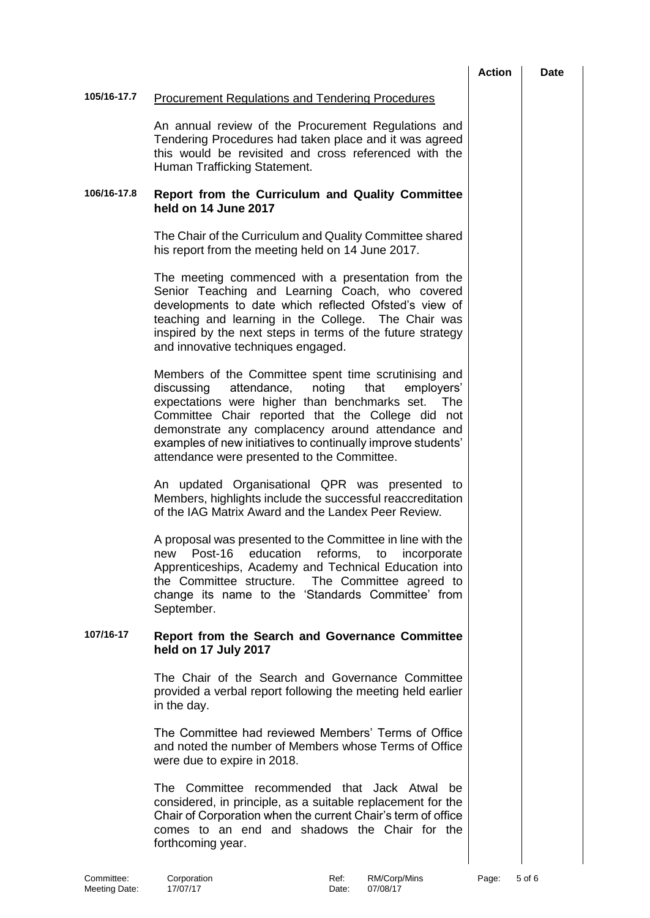|             |                                                                                                                                                                                                                                                                                                                                                                                                           | <b>Action</b> | Date |
|-------------|-----------------------------------------------------------------------------------------------------------------------------------------------------------------------------------------------------------------------------------------------------------------------------------------------------------------------------------------------------------------------------------------------------------|---------------|------|
| 105/16-17.7 | <b>Procurement Regulations and Tendering Procedures</b>                                                                                                                                                                                                                                                                                                                                                   |               |      |
|             | An annual review of the Procurement Regulations and<br>Tendering Procedures had taken place and it was agreed<br>this would be revisited and cross referenced with the<br>Human Trafficking Statement.                                                                                                                                                                                                    |               |      |
| 106/16-17.8 | Report from the Curriculum and Quality Committee<br>held on 14 June 2017                                                                                                                                                                                                                                                                                                                                  |               |      |
|             | The Chair of the Curriculum and Quality Committee shared<br>his report from the meeting held on 14 June 2017.                                                                                                                                                                                                                                                                                             |               |      |
|             | The meeting commenced with a presentation from the<br>Senior Teaching and Learning Coach, who covered<br>developments to date which reflected Ofsted's view of<br>teaching and learning in the College. The Chair was<br>inspired by the next steps in terms of the future strategy<br>and innovative techniques engaged.                                                                                 |               |      |
|             | Members of the Committee spent time scrutinising and<br>attendance,<br>noting<br>discussing<br>that<br>employers'<br>expectations were higher than benchmarks set.<br><b>The</b><br>Committee Chair reported that the College did not<br>demonstrate any complacency around attendance and<br>examples of new initiatives to continually improve students'<br>attendance were presented to the Committee. |               |      |
|             | An updated Organisational QPR was presented to<br>Members, highlights include the successful reaccreditation<br>of the IAG Matrix Award and the Landex Peer Review.                                                                                                                                                                                                                                       |               |      |
|             | A proposal was presented to the Committee in line with the<br>Post-16 education reforms, to incorporate<br>new<br>Apprenticeships, Academy and Technical Education into<br>the Committee structure.<br>The Committee agreed to<br>change its name to the 'Standards Committee' from<br>September.                                                                                                         |               |      |
| 107/16-17   | Report from the Search and Governance Committee<br>held on 17 July 2017                                                                                                                                                                                                                                                                                                                                   |               |      |
|             | The Chair of the Search and Governance Committee<br>provided a verbal report following the meeting held earlier<br>in the day.                                                                                                                                                                                                                                                                            |               |      |
|             | The Committee had reviewed Members' Terms of Office<br>and noted the number of Members whose Terms of Office<br>were due to expire in 2018.                                                                                                                                                                                                                                                               |               |      |
|             | The Committee recommended that Jack Atwal be<br>considered, in principle, as a suitable replacement for the<br>Chair of Corporation when the current Chair's term of office<br>comes to an end and shadows the Chair for the<br>forthcoming year.                                                                                                                                                         |               |      |